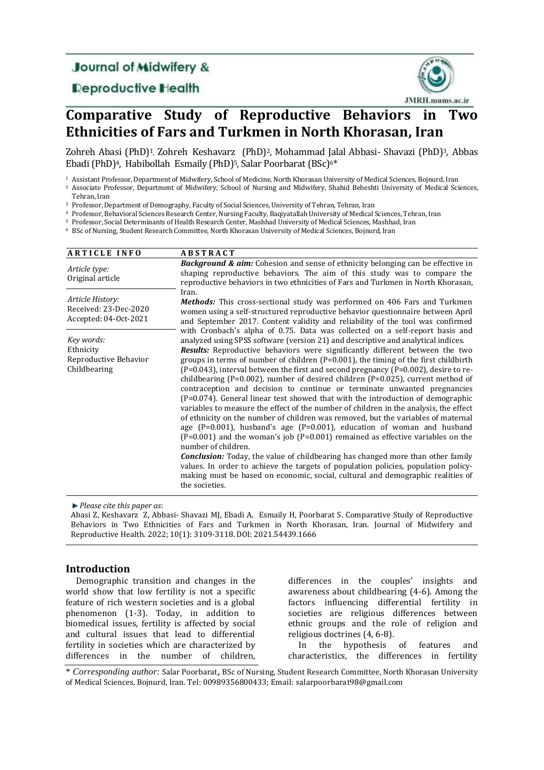## **Journal of Midwifery &**

### **Reproductive Health**



# **Comparative Study of Reproductive Behaviors in Two Ethnicities of Fars and Turkmen in North Khorasan, Iran**

Zohreh Abasi (PhD)<sup>1</sup>, Zohreh Keshavarz (PhD)2, Mohammad Jalal Abbasi- Shavazi (PhD)3, Abbas Ebadi (PhD)<sup>4</sup>, Habibollah Esmaily (PhD)<sup>5</sup>, Salar Poorbarat (BSc)<sup>6\*</sup>

<sup>1</sup> Assistant Professor, Department of Midwifery, School of Medicine, North Khorasan University of Medical Sciences, Bojnurd, Iran

<sup>2</sup> Associate Professor, Department of Midwifery, School of Nursing and Midwifery, Shahid Beheshti University of Medical Sciences, Tehran, Iran

<sup>3</sup> Professor, Department of Demography, Faculty of Social Sciences, University of Tehran, Tehran, Iran

<sup>4</sup> Professor, Behavioral Sciences Research Center, Nursing Faculty, Baqiyatallah University of Medical Sciences, Tehran, Iran

<sup>5</sup> Professor, Social Determinants of Health Research Center, Mashhad University of Medical Sciences, Mashhad, Iran

<sup>6</sup> BSc of Nursing, Student Research Committee, North Khorasan University of Medical Sciences, Bojnurd, Iran

| <b>ARTICLE INFO</b>                                                | <b>ABSTRACT</b>                                                                                                                                                                                                                                                                                                                                                                                                                                                                                                                                                                                                                                                                                                                                                                                                                                                                                                                                                                                                                                                                                                                                                                                                                                                                                                                                                   |
|--------------------------------------------------------------------|-------------------------------------------------------------------------------------------------------------------------------------------------------------------------------------------------------------------------------------------------------------------------------------------------------------------------------------------------------------------------------------------------------------------------------------------------------------------------------------------------------------------------------------------------------------------------------------------------------------------------------------------------------------------------------------------------------------------------------------------------------------------------------------------------------------------------------------------------------------------------------------------------------------------------------------------------------------------------------------------------------------------------------------------------------------------------------------------------------------------------------------------------------------------------------------------------------------------------------------------------------------------------------------------------------------------------------------------------------------------|
| Article type:<br>Original article                                  | <b>Background &amp; aim:</b> Cohesion and sense of ethnicity belonging can be effective in<br>shaping reproductive behaviors. The aim of this study was to compare the<br>reproductive behaviors in two ethnicities of Fars and Turkmen in North Khorasan,                                                                                                                                                                                                                                                                                                                                                                                                                                                                                                                                                                                                                                                                                                                                                                                                                                                                                                                                                                                                                                                                                                        |
| Article History:<br>Received: 23-Dec-2020<br>Accepted: 04-Oct-2021 | Iran.<br><b>Methods:</b> This cross-sectional study was performed on 406 Fars and Turkmen<br>women using a self-structured reproductive behavior questionnaire between April<br>and September 2017. Content validity and reliability of the tool was confirmed                                                                                                                                                                                                                                                                                                                                                                                                                                                                                                                                                                                                                                                                                                                                                                                                                                                                                                                                                                                                                                                                                                    |
| Key words:<br>Ethnicity<br>Reproductive Behavior<br>Childbearing   | with Cronbach's alpha of 0.75. Data was collected on a self-report basis and<br>analyzed using SPSS software (version 21) and descriptive and analytical indices.<br><b>Results:</b> Reproductive behaviors were significantly different between the two<br>groups in terms of number of children $(P=0.001)$ , the timing of the first childbirth<br>$(P=0.043)$ , interval between the first and second pregnancy $(P=0.002)$ , desire to re-<br>childbearing (P=0.002), number of desired children (P=0.025), current method of<br>contraception and decision to continue or terminate unwanted pregnancies<br>(P=0.074). General linear test showed that with the introduction of demographic<br>variables to measure the effect of the number of children in the analysis, the effect<br>of ethnicity on the number of children was removed, but the variables of maternal<br>age $(P=0.001)$ , husband's age $(P=0.001)$ , education of woman and husband<br>$(P=0.001)$ and the woman's job $(P=0.001)$ remained as effective variables on the<br>number of children.<br><b>Conclusion:</b> Today, the value of childbearing has changed more than other family<br>values. In order to achieve the targets of population policies, population policy-<br>making must be based on economic, social, cultural and demographic realities of<br>the societies. |

*Please cite this paper as*:

Abasi Z, Keshavarz Z, Abbasi- Shavazi MJ, Ebadi A, Esmaily H, Poorbarat S. Comparative Study of Reproductive Behaviors in Two Ethnicities of Fars and Turkmen in North Khorasan, Iran. Journal of Midwifery and Reproductive Health. 2022; 10(1): 3109-3118. DOI: 2021.54439.1666

### **Introduction**

Demographic transition and changes in the world show that low fertility is not a specific feature of rich western societies and is a global phenomenon (1-3). Today, in addition to biomedical issues, fertility is affected by social and cultural issues that lead to differential fertility in societies which are characterized by differences in the number of children,

differences in the couples' insights and awareness about childbearing (4-6). Among the factors influencing differential fertility in societies are religious differences between ethnic groups and the role of religion and religious doctrines (4, 6-8).

In the hypothesis of features and characteristics, the differences in fertility

\* *Corresponding author:* Salar Poorbarat, BSc of Nursing, Student Research Committee, North Khorasan University of Medical Sciences, Bojnurd, Iran. Tel: 00989356800433; Email: salarpoorbarat98@gmail.com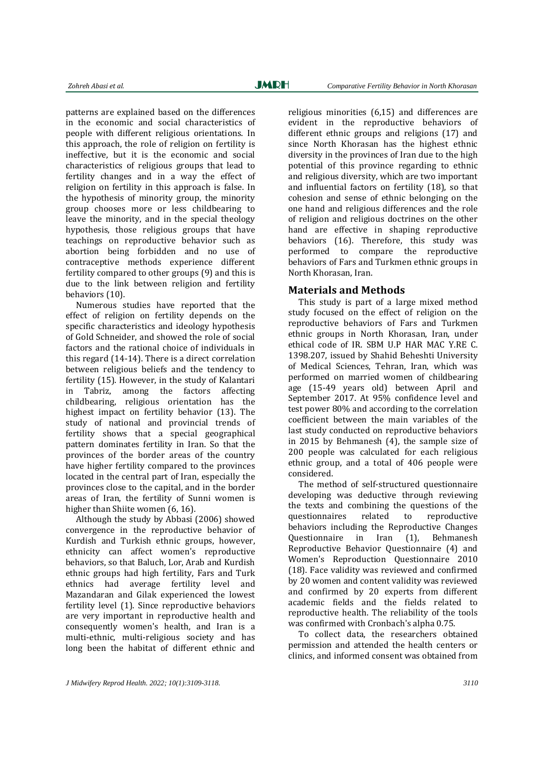patterns are explained based on the differences in the economic and social characteristics of people with different religious orientations. In this approach, the role of religion on fertility is ineffective, but it is the economic and social characteristics of religious groups that lead to fertility changes and in a way the effect of religion on fertility in this approach is false. In the hypothesis of minority group, the minority group chooses more or less childbearing to leave the minority, and in the special theology hypothesis, those religious groups that have teachings on reproductive behavior such as abortion being forbidden and no use of contraceptive methods experience different fertility compared to other groups (9) and this is due to the link between religion and fertility behaviors (10).

Numerous studies have reported that the effect of religion on fertility depends on the specific characteristics and ideology hypothesis of Gold Schneider, and showed the role of social factors and the rational choice of individuals in this regard (14-14). There is a direct correlation between religious beliefs and the tendency to fertility (15). However, in the study of Kalantari in Tabriz, among the factors affecting childbearing, religious orientation has the highest impact on fertility behavior (13). The study of national and provincial trends of fertility shows that a special geographical pattern dominates fertility in Iran. So that the provinces of the border areas of the country have higher fertility compared to the provinces located in the central part of Iran, especially the provinces close to the capital, and in the border areas of Iran, the fertility of Sunni women is higher than Shiite women (6, 16).

Although the study by Abbasi (2006) showed convergence in the reproductive behavior of Kurdish and Turkish ethnic groups, however, ethnicity can affect women's reproductive behaviors, so that Baluch, Lor, Arab and Kurdish ethnic groups had high fertility, Fars and Turk ethnics had average fertility level and Mazandaran and Gilak experienced the lowest fertility level (1). Since reproductive behaviors are very important in reproductive health and consequently women's health, and Iran is a multi-ethnic, multi-religious society and has long been the habitat of different ethnic and

religious minorities (6,15) and differences are evident in the reproductive behaviors of different ethnic groups and religions (17) and since North Khorasan has the highest ethnic diversity in the provinces of Iran due to the high potential of this province regarding to ethnic and religious diversity, which are two important and influential factors on fertility (18), so that cohesion and sense of ethnic belonging on the one hand and religious differences and the role of religion and religious doctrines on the other hand are effective in shaping reproductive behaviors (16). Therefore, this study was performed to compare the reproductive behaviors of Fars and Turkmen ethnic groups in North Khorasan, Iran.

#### **Materials and Methods**

This study is part of a large mixed method study focused on the effect of religion on the reproductive behaviors of Fars and Turkmen ethnic groups in North Khorasan, Iran, under ethical code of IR. SBM U.P HAR MAC Y.RE C. 1398.207, issued by Shahid Beheshti University of Medical Sciences, Tehran, Iran, which was performed on married women of childbearing age (15-49 years old) between April and September 2017. At 95% confidence level and test power 80% and according to the correlation coefficient between the main variables of the last study conducted on reproductive behaviors in 2015 by Behmanesh (4), the sample size of 200 people was calculated for each religious ethnic group, and a total of 406 people were considered.

The method of self-structured questionnaire developing was deductive through reviewing the texts and combining the questions of the questionnaires related to reproductive behaviors including the Reproductive Changes Questionnaire in Iran (1), Behmanesh Reproductive Behavior Questionnaire (4) and Women's Reproduction Questionnaire 2010 (18). Face validity was reviewed and confirmed by 20 women and content validity was reviewed and confirmed by 20 experts from different academic fields and the fields related to reproductive health. The reliability of the tools was confirmed with Cronbach's alpha 0.75.

To collect data, the researchers obtained permission and attended the health centers or clinics, and informed consent was obtained from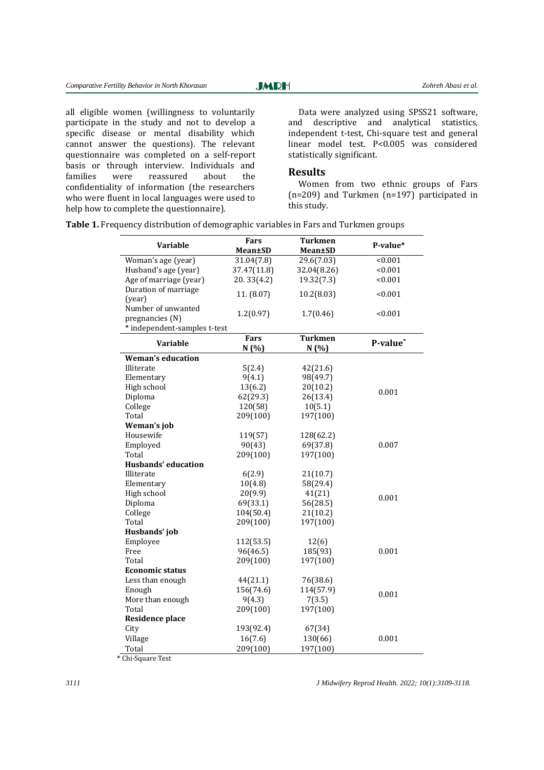**JMRH** 

all eligible women (willingness to voluntarily participate in the study and not to develop a specific disease or mental disability which cannot answer the questions). The relevant questionnaire was completed on a self-report basis or through interview. Individuals and families were reassured about the confidentiality of information (the researchers who were fluent in local languages were used to help how to complete the questionnaire).

Data were analyzed using SPSS21 software, and descriptive and analytical statistics, independent t-test, Chi-square test and general linear model test. P<0.005 was considered statistically significant.

#### **Results**

Women from two ethnic groups of Fars (n=209) and Turkmen (n=197) participated in this study.

| Variable                     | Fars           | <b>Turkmen</b> | P-value* |
|------------------------------|----------------|----------------|----------|
|                              | <b>Mean±SD</b> | Mean±SD        |          |
| Woman's age (year)           | 31.04(7.8)     | 29.6(7.03)     | < 0.001  |
| Husband's age (year)         | 37.47(11.8)    | 32.04(8.26)    | < 0.001  |
| Age of marriage (year)       | 20.33(4.2)     | 19.32(7.3)     | < 0.001  |
| Duration of marriage         | 11. (8.07)     | 10.2(8.03)     | < 0.001  |
| (year)                       |                |                |          |
| Number of unwanted           | 1.2(0.97)      | 1.7(0.46)      | < 0.001  |
| pregnancies (N)              |                |                |          |
| * independent-samples t-test |                |                |          |
| <b>Variable</b>              | <b>Fars</b>    | <b>Turkmen</b> | P-value* |
|                              | N(% )          | N(%)           |          |
| <b>Weman's education</b>     |                |                |          |
| Illiterate                   | 5(2.4)         | 42(21.6)       |          |
| Elementary                   | 9(4.1)         | 98(49.7)       |          |
| High school                  | 13(6.2)        | 20(10.2)       | 0.001    |
| Diploma                      | 62(29.3)       | 26(13.4)       |          |
| College                      | 120(58)        | 10(5.1)        |          |
| Total                        | 209(100)       | 197(100)       |          |
| Weman's job                  |                |                |          |
| Housewife                    | 119(57)        | 128(62.2)      |          |
| Employed                     | 90(43)         | 69(37.8)       | 0.007    |
| Total                        | 209(100)       | 197(100)       |          |
| Husbands' education          |                |                |          |
| Illiterate                   | 6(2.9)         | 21(10.7)       |          |
| Elementary                   | 10(4.8)        | 58(29.4)       |          |
| High school                  | 20(9.9)        | 41(21)         | 0.001    |
| Diploma                      | 69(33.1)       | 56(28.5)       |          |
| College                      | 104(50.4)      | 21(10.2)       |          |
| Total                        | 209(100)       | 197(100)       |          |
| Husbands' job                |                |                |          |
| Employee                     | 112(53.5)      | 12(6)          |          |
| Free                         | 96(46.5)       | 185(93)        | 0.001    |
| Total                        | 209(100)       | 197(100)       |          |
| <b>Economic status</b>       |                |                |          |
| Less than enough             | 44(21.1)       | 76(38.6)       |          |
| Enough                       | 156(74.6)      | 114(57.9)      | 0.001    |
| More than enough             | 9(4.3)         | 7(3.5)         |          |
| Total                        | 209(100)       | 197(100)       |          |
| Residence place              |                |                |          |
| City                         | 193(92.4)      | 67(34)         |          |
| Village                      | 16(7.6)        | 130(66)        | 0.001    |
| Total                        | 209(100)       | 197(100)       |          |

**Table 1.** Frequency distribution of demographic variables in Fars and Turkmen groups

\* Chi-Square Test

*3111 J Midwifery Reprod Health. 2022; 10(1):3109-3118.*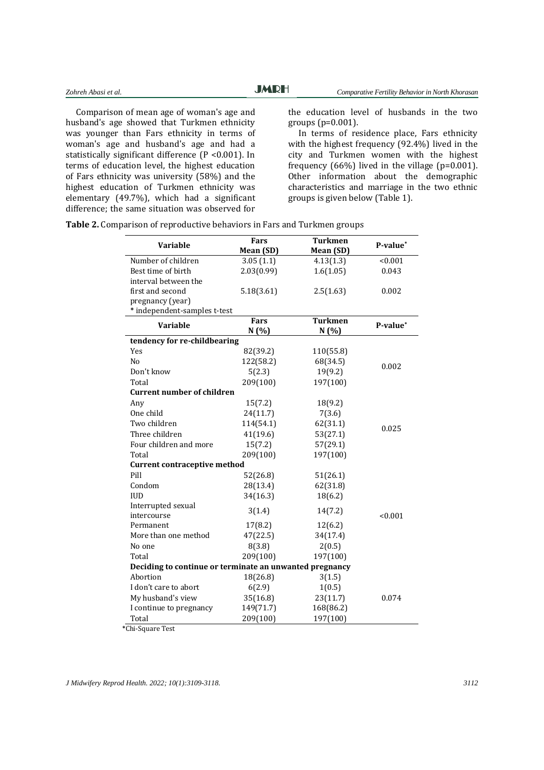Comparison of mean age of woman's age and husband's age showed that Turkmen ethnicity was younger than Fars ethnicity in terms of woman's age and husband's age and had a statistically significant difference (P <0.001). In terms of education level, the highest education of Fars ethnicity was university (58%) and the highest education of Turkmen ethnicity was elementary (49.7%), which had a significant difference; the same situation was observed for

the education level of husbands in the two groups (p=0.001).

In terms of residence place, Fars ethnicity with the highest frequency (92.4%) lived in the city and Turkmen women with the highest frequency  $(66%)$  lived in the village  $(p=0.001)$ . Other information about the demographic characteristics and marriage in the two ethnic groups is given below (Table 1).

| <b>Variable</b>                                         | Fars       | <b>Turkmen</b> | P-value* |
|---------------------------------------------------------|------------|----------------|----------|
|                                                         | Mean (SD)  | Mean (SD)      |          |
| Number of children                                      | 3.05(1.1)  | 4.13(1.3)      | < 0.001  |
| Best time of birth                                      | 2.03(0.99) | 1.6(1.05)      | 0.043    |
| interval between the                                    |            |                |          |
| first and second                                        | 5.18(3.61) | 2.5(1.63)      | 0.002    |
| pregnancy (year)                                        |            |                |          |
| * independent-samples t-test                            |            |                |          |
| Variable                                                | Fars       | <b>Turkmen</b> | P-value* |
|                                                         | N(%)       | N(%)           |          |
| tendency for re-childbearing                            |            |                |          |
| Yes                                                     | 82(39.2)   | 110(55.8)      |          |
| N <sub>o</sub>                                          | 122(58.2)  | 68(34.5)       | 0.002    |
| Don't know                                              | 5(2.3)     | 19(9.2)        |          |
| Total                                                   | 209(100)   | 197(100)       |          |
| <b>Current number of children</b>                       |            |                |          |
| Any                                                     | 15(7.2)    | 18(9.2)        |          |
| One child                                               | 24(11.7)   | 7(3.6)         |          |
| Two children                                            | 114(54.1)  | 62(31.1)       | 0.025    |
| Three children                                          | 41(19.6)   | 53(27.1)       |          |
| Four children and more                                  | 15(7.2)    | 57(29.1)       |          |
| Total                                                   | 209(100)   | 197(100)       |          |
| <b>Current contraceptive method</b>                     |            |                |          |
| Pill                                                    | 52(26.8)   | 51(26.1)       |          |
| Condom                                                  | 28(13.4)   | 62(31.8)       |          |
| <b>IUD</b>                                              | 34(16.3)   | 18(6.2)        |          |
| Interrupted sexual                                      | 3(1.4)     | 14(7.2)        |          |
| intercourse                                             |            |                | < 0.001  |
| Permanent                                               | 17(8.2)    | 12(6.2)        |          |
| More than one method                                    | 47(22.5)   | 34(17.4)       |          |
| No one                                                  | 8(3.8)     | 2(0.5)         |          |
| Total                                                   | 209(100)   | 197(100)       |          |
| Deciding to continue or terminate an unwanted pregnancy |            |                |          |
| Abortion                                                | 18(26.8)   | 3(1.5)         |          |
| I don't care to abort                                   | 6(2.9)     | 1(0.5)         |          |
| My husband's view                                       | 35(16.8)   | 23(11.7)       | 0.074    |
| I continue to pregnancy                                 | 149(71.7)  | 168(86.2)      |          |
| Total                                                   | 209(100)   | 197(100)       |          |

**Table 2.** Comparison of reproductive behaviors in Fars and Turkmen groups

\*Chi-Square Test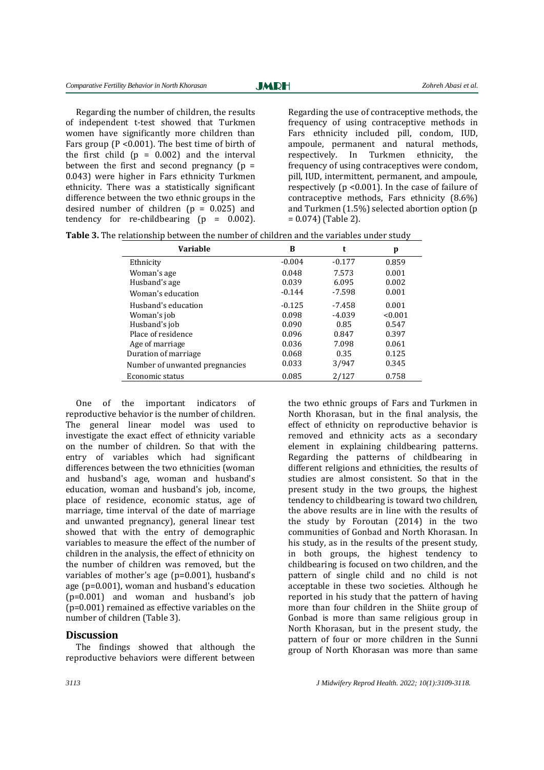**JMRH** 

Regarding the number of children, the results of independent t-test showed that Turkmen women have significantly more children than Fars group (P <0.001). The best time of birth of the first child  $(p = 0.002)$  and the interval between the first and second pregnancy  $(p =$ 0.043) were higher in Fars ethnicity Turkmen ethnicity. There was a statistically significant difference between the two ethnic groups in the desired number of children  $(p = 0.025)$  and tendency for re-childbearing  $(p = 0.002)$ .

Regarding the use of contraceptive methods, the frequency of using contraceptive methods in Fars ethnicity included pill, condom, IUD, ampoule, permanent and natural methods, respectively. In Turkmen ethnicity, the frequency of using contraceptives were condom, pill, IUD, intermittent, permanent, and ampoule, respectively (p <0.001). In the case of failure of contraceptive methods, Fars ethnicity (8.6%) and Turkmen (1.5%) selected abortion option (p = 0.074) (Table 2).

|--|

| Variable                       | в        | t        | p       |
|--------------------------------|----------|----------|---------|
| Ethnicity                      | $-0.004$ | $-0.177$ | 0.859   |
| Woman's age                    | 0.048    | 7.573    | 0.001   |
| Husband's age                  | 0.039    | 6.095    | 0.002   |
| Woman's education              | $-0.144$ | $-7.598$ | 0.001   |
| Husband's education            | $-0.125$ | -7.458   | 0.001   |
| Woman's job                    | 0.098    | $-4.039$ | < 0.001 |
| Husband's job                  | 0.090    | 0.85     | 0.547   |
| Place of residence             | 0.096    | 0.847    | 0.397   |
| Age of marriage                | 0.036    | 7.098    | 0.061   |
| Duration of marriage           | 0.068    | 0.35     | 0.125   |
| Number of unwanted pregnancies | 0.033    | 3/947    | 0.345   |
| Economic status                | 0.085    | 2/127    | 0.758   |

One of the important indicators of reproductive behavior is the number of children. The general linear model was used to investigate the exact effect of ethnicity variable on the number of children. So that with the entry of variables which had significant differences between the two ethnicities (woman and husband's age, woman and husband's education, woman and husband's job, income, place of residence, economic status, age of marriage, time interval of the date of marriage and unwanted pregnancy), general linear test showed that with the entry of demographic variables to measure the effect of the number of children in the analysis, the effect of ethnicity on the number of children was removed, but the variables of mother's age (p=0.001), husband's age (p=0.001), woman and husband's education (p=0.001) and woman and husband's job (p=0.001) remained as effective variables on the number of children (Table 3).

#### **Discussion**

The findings showed that although the reproductive behaviors were different between

the two ethnic groups of Fars and Turkmen in North Khorasan, but in the final analysis, the effect of ethnicity on reproductive behavior is removed and ethnicity acts as a secondary element in explaining childbearing patterns. Regarding the patterns of childbearing in different religions and ethnicities, the results of studies are almost consistent. So that in the present study in the two groups, the highest tendency to childbearing is toward two children, the above results are in line with the results of the study by Foroutan (2014) in the two communities of Gonbad and North Khorasan. In his study, as in the results of the present study, in both groups, the highest tendency to childbearing is focused on two children, and the pattern of single child and no child is not acceptable in these two societies. Although he reported in his study that the pattern of having more than four children in the Shiite group of Gonbad is more than same religious group in North Khorasan, but in the present study, the pattern of four or more children in the Sunni group of North Khorasan was more than same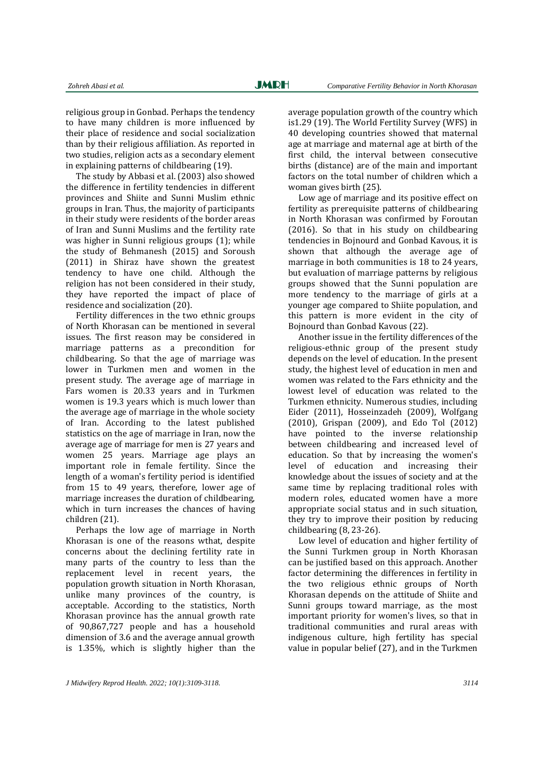religious group in Gonbad. Perhaps the tendency to have many children is more influenced by their place of residence and social socialization than by their religious affiliation. As reported in two studies, religion acts as a secondary element in explaining patterns of childbearing (19).

The study by Abbasi et al. (2003) also showed the difference in fertility tendencies in different provinces and Shiite and Sunni Muslim ethnic groups in Iran. Thus, the majority of participants in their study were residents of the border areas of Iran and Sunni Muslims and the fertility rate was higher in Sunni religious groups (1); while the study of Behmanesh (2015) and Soroush (2011) in Shiraz have shown the greatest tendency to have one child. Although the religion has not been considered in their study, they have reported the impact of place of residence and socialization (20).

Fertility differences in the two ethnic groups of North Khorasan can be mentioned in several issues. The first reason may be considered in marriage patterns as a precondition for childbearing. So that the age of marriage was lower in Turkmen men and women in the present study. The average age of marriage in Fars women is 20.33 years and in Turkmen women is 19.3 years which is much lower than the average age of marriage in the whole society of Iran. According to the latest published statistics on the age of marriage in Iran, now the average age of marriage for men is 27 years and women 25 years. Marriage age plays an important role in female fertility. Since the length of a woman's fertility period is identified from 15 to 49 years, therefore, lower age of marriage increases the duration of childbearing, which in turn increases the chances of having children (21).

Perhaps the low age of marriage in North Khorasan is one of the reasons wthat, despite concerns about the declining fertility rate in many parts of the country to less than the replacement level in recent years, the population growth situation in North Khorasan, unlike many provinces of the country, is acceptable. According to the statistics, North Khorasan province has the annual growth rate of 90,867,727 people and has a household dimension of 3.6 and the average annual growth is 1.35%, which is slightly higher than the average population growth of the country which is1.29 (19). The World Fertility Survey (WFS) in 40 developing countries showed that maternal age at marriage and maternal age at birth of the first child, the interval between consecutive births (distance) are of the main and important factors on the total number of children which a woman gives birth (25).

Low age of marriage and its positive effect on fertility as prerequisite patterns of childbearing in North Khorasan was confirmed by Foroutan (2016). So that in his study on childbearing tendencies in Bojnourd and Gonbad Kavous, it is shown that although the average age of marriage in both communities is 18 to 24 years, but evaluation of marriage patterns by religious groups showed that the Sunni population are more tendency to the marriage of girls at a younger age compared to Shiite population, and this pattern is more evident in the city of Bojnourd than Gonbad Kavous (22).

Another issue in the fertility differences of the religious-ethnic group of the present study depends on the level of education. In the present study, the highest level of education in men and women was related to the Fars ethnicity and the lowest level of education was related to the Turkmen ethnicity. Numerous studies, including Eider (2011), Hosseinzadeh (2009), Wolfgang (2010), Grispan (2009), and Edo Tol (2012) have pointed to the inverse relationship between childbearing and increased level of education. So that by increasing the women's level of education and increasing their knowledge about the issues of society and at the same time by replacing traditional roles with modern roles, educated women have a more appropriate social status and in such situation, they try to improve their position by reducing childbearing (8, 23-26).

Low level of education and higher fertility of the Sunni Turkmen group in North Khorasan can be justified based on this approach. Another factor determining the differences in fertility in the two religious ethnic groups of North Khorasan depends on the attitude of Shiite and Sunni groups toward marriage, as the most important priority for women's lives, so that in traditional communities and rural areas with indigenous culture, high fertility has special value in popular belief (27), and in the Turkmen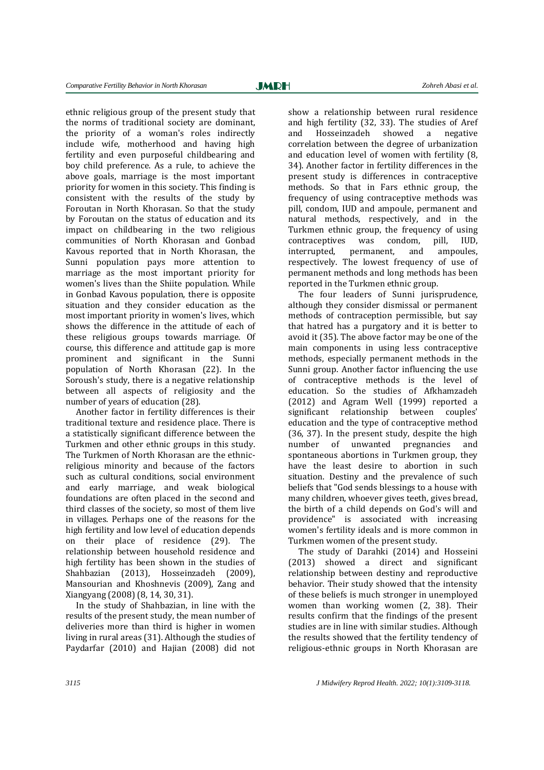ethnic religious group of the present study that the norms of traditional society are dominant, the priority of a woman's roles indirectly include wife, motherhood and having high fertility and even purposeful childbearing and boy child preference. As a rule, to achieve the above goals, marriage is the most important priority for women in this society. This finding is consistent with the results of the study by Foroutan in North Khorasan. So that the study by Foroutan on the status of education and its impact on childbearing in the two religious communities of North Khorasan and Gonbad Kavous reported that in North Khorasan, the Sunni population pays more attention to marriage as the most important priority for women's lives than the Shiite population. While in Gonbad Kavous population, there is opposite situation and they consider education as the most important priority in women's lives, which shows the difference in the attitude of each of these religious groups towards marriage. Of course, this difference and attitude gap is more prominent and significant in the Sunni population of North Khorasan (22). In the Soroush's study, there is a negative relationship between all aspects of religiosity and the number of years of education (28).

Another factor in fertility differences is their traditional texture and residence place. There is a statistically significant difference between the Turkmen and other ethnic groups in this study. The Turkmen of North Khorasan are the ethnicreligious minority and because of the factors such as cultural conditions, social environment and early marriage, and weak biological foundations are often placed in the second and third classes of the society, so most of them live in villages. Perhaps one of the reasons for the high fertility and low level of education depends on their place of residence (29). The relationship between household residence and high fertility has been shown in the studies of Shahbazian (2013), Hosseinzadeh (2009), Mansourian and Khoshnevis (2009), Zang and Xiangyang (2008) (8, 14, 30, 31).

In the study of Shahbazian, in line with the results of the present study, the mean number of deliveries more than third is higher in women living in rural areas (31). Although the studies of Paydarfar (2010) and Hajian (2008) did not

show a relationship between rural residence and high fertility (32, 33). The studies of Aref and Hosseinzadeh showed a negative correlation between the degree of urbanization and education level of women with fertility (8, 34). Another factor in fertility differences in the present study is differences in contraceptive methods. So that in Fars ethnic group, the frequency of using contraceptive methods was pill, condom, IUD and ampoule, permanent and natural methods, respectively, and in the Turkmen ethnic group, the frequency of using contraceptives was condom, pill, IUD, interrupted, permanent, and ampoules, respectively. The lowest frequency of use of permanent methods and long methods has been reported in the Turkmen ethnic group.

The four leaders of Sunni jurisprudence, although they consider dismissal or permanent methods of contraception permissible, but say that hatred has a purgatory and it is better to avoid it (35). The above factor may be one of the main components in using less contraceptive methods, especially permanent methods in the Sunni group. Another factor influencing the use of contraceptive methods is the level of education. So the studies of Afkhamzadeh (2012) and Agram Well (1999) reported a significant relationship between couples' education and the type of contraceptive method (36, 37). In the present study, despite the high number of unwanted pregnancies and spontaneous abortions in Turkmen group, they have the least desire to abortion in such situation. Destiny and the prevalence of such beliefs that "God sends blessings to a house with many children, whoever gives teeth, gives bread, the birth of a child depends on God's will and providence" is associated with increasing women's fertility ideals and is more common in Turkmen women of the present study.

The study of Darahki (2014) and Hosseini (2013) showed a direct and significant relationship between destiny and reproductive behavior. Their study showed that the intensity of these beliefs is much stronger in unemployed women than working women (2, 38). Their results confirm that the findings of the present studies are in line with similar studies. Although the results showed that the fertility tendency of religious-ethnic groups in North Khorasan are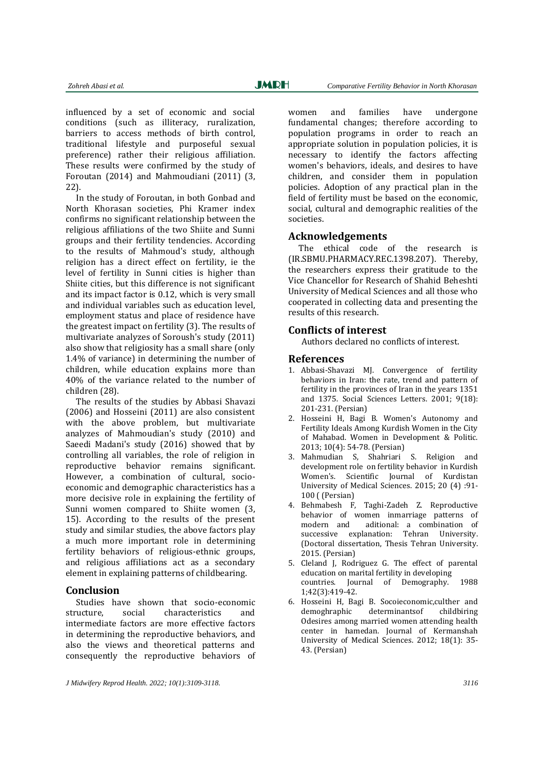influenced by a set of economic and social conditions (such as illiteracy, ruralization, barriers to access methods of birth control, traditional lifestyle and purposeful sexual preference) rather their religious affiliation. These results were confirmed by the study of Foroutan (2014) and Mahmoudiani (2011) (3, 22).

In the study of Foroutan, in both Gonbad and North Khorasan societies, Phi Kramer index confirms no significant relationship between the religious affiliations of the two Shiite and Sunni groups and their fertility tendencies. According to the results of Mahmoud's study, although religion has a direct effect on fertility, ie the level of fertility in Sunni cities is higher than Shiite cities, but this difference is not significant and its impact factor is 0.12, which is very small and individual variables such as education level, employment status and place of residence have the greatest impact on fertility (3). The results of multivariate analyzes of Soroush's study (2011) also show that religiosity has a small share (only 1.4% of variance) in determining the number of children, while education explains more than 40% of the variance related to the number of children (28).

The results of the studies by Abbasi Shavazi (2006) and Hosseini (2011) are also consistent with the above problem, but multivariate analyzes of Mahmoudian's study (2010) and Saeedi Madani's study (2016) showed that by controlling all variables, the role of religion in reproductive behavior remains significant. However, a combination of cultural, socioeconomic and demographic characteristics has a more decisive role in explaining the fertility of Sunni women compared to Shiite women (3, 15). According to the results of the present study and similar studies, the above factors play a much more important role in determining fertility behaviors of religious-ethnic groups, and religious affiliations act as a secondary element in explaining patterns of childbearing.

#### **Conclusion**

Studies have shown that socio-economic structure, social characteristics and intermediate factors are more effective factors in determining the reproductive behaviors, and also the views and theoretical patterns and consequently the reproductive behaviors of women and families have undergone fundamental changes; therefore according to population programs in order to reach an appropriate solution in population policies, it is necessary to identify the factors affecting women's behaviors, ideals, and desires to have children, and consider them in population policies. Adoption of any practical plan in the field of fertility must be based on the economic, social, cultural and demographic realities of the societies.

#### **Acknowledgements**

The ethical code of the research is (IR.SBMU.PHARMACY.REC.1398.207). Thereby, the researchers express their gratitude to the Vice Chancellor for Research of Shahid Beheshti University of Medical Sciences and all those who cooperated in collecting data and presenting the results of this research.

#### **Conflicts of interest**

Authors declared no conflicts of interest.

#### **References**

- 1. Abbasi-Shavazi MJ. Convergence of fertility behaviors in Iran: the rate, trend and pattern of fertility in the provinces of Iran in the years 1351 and 1375. Social Sciences Letters. 2001; 9(18): 201-231. (Persian)
- 2. Hosseini H, Bagi B. Women's Autonomy and Fertility Ideals Among Kurdish Women in the City of Mahabad. Women in Development & Politic. 2013; 10(4): 54-78. (Persian)
- 3. Mahmudian S, Shahriari S. Religion and development role on fertility behavior in Kurdish Women's. Scientific Journal of Kurdistan University of Medical Sciences. 2015; 20 (4) :91- 100 ( (Persian)
- 4. Behmabesh F, Taghi-Zadeh Z. Reproductive behavior of women inmarriage patterns of modern and aditional: a combination of successive explanation: Tehran University. (Doctoral dissertation, Thesis Tehran University. 2015. (Persian)
- 5. Cleland J, Rodriguez G. The effect of parental education on marital fertility in developing countries. Journal of Demography. 1988 1;42(3):419-42.
- 6. Hosseini H, Bagi B. Socoieconomic,culther and demoghraphic determinantsof childbiring Odesires among married women attending health center in hamedan. Journal of Kermanshah University of Medical Sciences. 2012; 18(1): 35- 43. (Persian)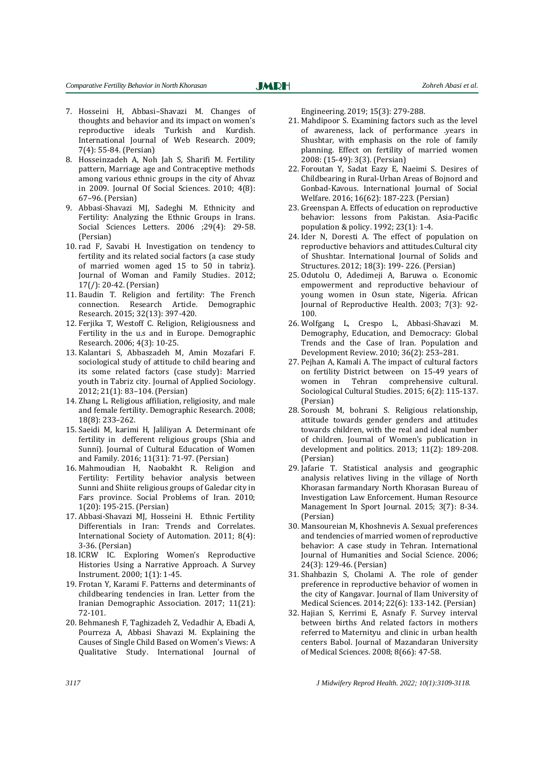- 7. Hosseini H, Abbasi–Shavazi M. Changes of thoughts and behavior and its impact on women's reproductive ideals Turkish and Kurdish. International Journal of Web Research. 2009; 7(4): 55-84. (Persian)
- 8. Hosseinzadeh A, Noh Jah S, Sharifi M. Fertility pattern, Marriage age and Contraceptive methods among various ethnic groups in the city of Ahvaz in 2009. Journal Of Social Sciences. 2010; 4(8): 67–96. (Persian)
- 9. Abbasi-Shavazi MJ, Sadeghi M. Ethnicity and Fertility: Analyzing the Ethnic Groups in Irans. Social Sciences Letters. 2006 ;29(4): 29-58. (Persian)
- 10. rad F, Savabi H. Investigation on tendency to fertility and its related social factors (a case study of married women aged 15 to 50 in tabriz). Journal of Woman and Family Studies. 2012; 17(/): 20-42. (Persian)
- 11. Baudin T. Religion and fertility: The French connection. Research Article. Demographic Research. 2015; 32(13): 397-420.
- 12. Ferjika T, Westoff C. Religion, Religiousness and Fertility in the u.s and in Europe. Demographic Research. 2006; 4(3): 10-25.
- 13. Kalantari S, Abbaszadeh M, Amin Mozafari F. sociological study of attitude to child bearing and its some related factors (case study): Married youth in Tabriz city. Journal of Applied Sociology. 2012; 21(1): 83–104. (Persian)
- 14. Zhang L. Religious affiliation, religiosity, and male and female fertility. Demographic Research. 2008; 18(8): 233–262.
- 15. Saeidi M, karimi H, Jaliliyan A. Determinant ofe fertility in defferent religious groups (Shia and Sunni). Journal of Cultural Education of Women and Family. 2016; 11(31): 71-97. (Persian)
- 16. Mahmoudian H, Naobakht R. Religion and Fertility: Fertility behavior analysis between Sunni and Shiite religious groups of Galedar city in Fars province. Social Problems of Iran. 2010; 1(20): 195-215. (Persian)
- 17. Abbasi-Shavazi MJ, Hosseini H. Ethnic Fertility Differentials in Iran: Trends and Correlates. International Society of Automation. 2011; 8(4): 3-36. (Persian)
- 18. ICRW IC. Exploring Women's Reproductive Histories Using a Narrative Approach. A Survey Instrument. 2000; 1(1): 1-45.
- 19. Frotan Y, Karami F. Patterns and determinants of childbearing tendencies in Iran. Letter from the Iranian Demographic Association. 2017; 11(21): 72-101.
- 20. Behmanesh F, Taghizadeh Z, Vedadhir A, Ebadi A, Pourreza A, Abbasi Shavazi M. Explaining the Causes of Single Child Based on Women's Views: A Qualitative Study. International Journal of

Engineering. 2019; 15(3): 279-288.

- 21. Mahdipoor S. Examining factors such as the level of awareness, lack of performance .years in Shushtar, with emphasis on the role of family planning. Effect on fertility of married women 2008: (15-49): 3(3). (Persian)
- 22. Foroutan Y, Sadat Eazy E, Naeimi S. Desires of Childbearing in Rural-Urban Areas of Bojnord and Gonbad-Kavous. International Journal of Social Welfare. 2016; 16(62): 187-223. (Persian)
- 23. Greenspan A. Effects of education on reproductive behavior: lessons from Pakistan. Asia-Pacific population & policy. 1992; 23(1): 1-4.
- 24. Ider N, Doresti A. The effect of population on reproductive behaviors and attitudes.Cultural city of Shushtar. International Journal of Solids and Structures. 2012; 18(3): 199- 226. (Persian)
- 25. Odutolu O, Adedimeji A, Baruwa o. Economic empowerment and reproductive behaviour of young women in Osun state, Nigeria. African Journal of Reproductive Health. 2003; 7(3): 92- 100.
- 26. Wolfgang L, Crespo L, Abbasi-Shavazi M. Demography, Education, and Democracy: Global Trends and the Case of Iran. Population and Development Review. 2010; 36(2): 253–281.
- 27. Pejhan A, Kamali A. The impact of cultural factors on fertility District between on 15-49 years of women in Tehran comprehensive cultural. Sociological Cultural Studies. 2015; 6(2): 115-137. (Persian)
- 28. Soroush M, bohrani S. Religious relationship, attitude towards gender genders and attitudes towards children, with the real and ideal number of children. Journal of Women's publication in development and politics. 2013; 11(2): 189-208. (Persian)
- 29. Jafarie T. Statistical analysis and geographic analysis relatives living in the village of North Khorasan farmandary North Khorasan Bureau of Investigation Law Enforcement. Human Resource Management In Sport Journal. 2015; 3(7): 8-34. (Persian)
- 30. Mansoureian M, Khoshnevis A. Sexual preferences and tendencies of married women of reproductive behavior: A case study in Tehran. International Journal of Humanities and Social Science. 2006; 24(3): 129-46. (Persian)
- 31. Shahbazin S, Cholami A. The role of gender preference in reproductive behavior of women in the city of Kangavar. Journal of Ilam University of Medical Sciences. 2014; 22(6): 133-142. (Persian)
- 32. Hajian S, Kerrimi E, Asnafy F. Survey interval between births And related factors in mothers referred to Maternityu and clinic in urban health centers Babol. Journal of Mazandaran University of Medical Sciences. 2008; 8(66): 47-58.

*3117 J Midwifery Reprod Health. 2022; 10(1):3109-3118.*